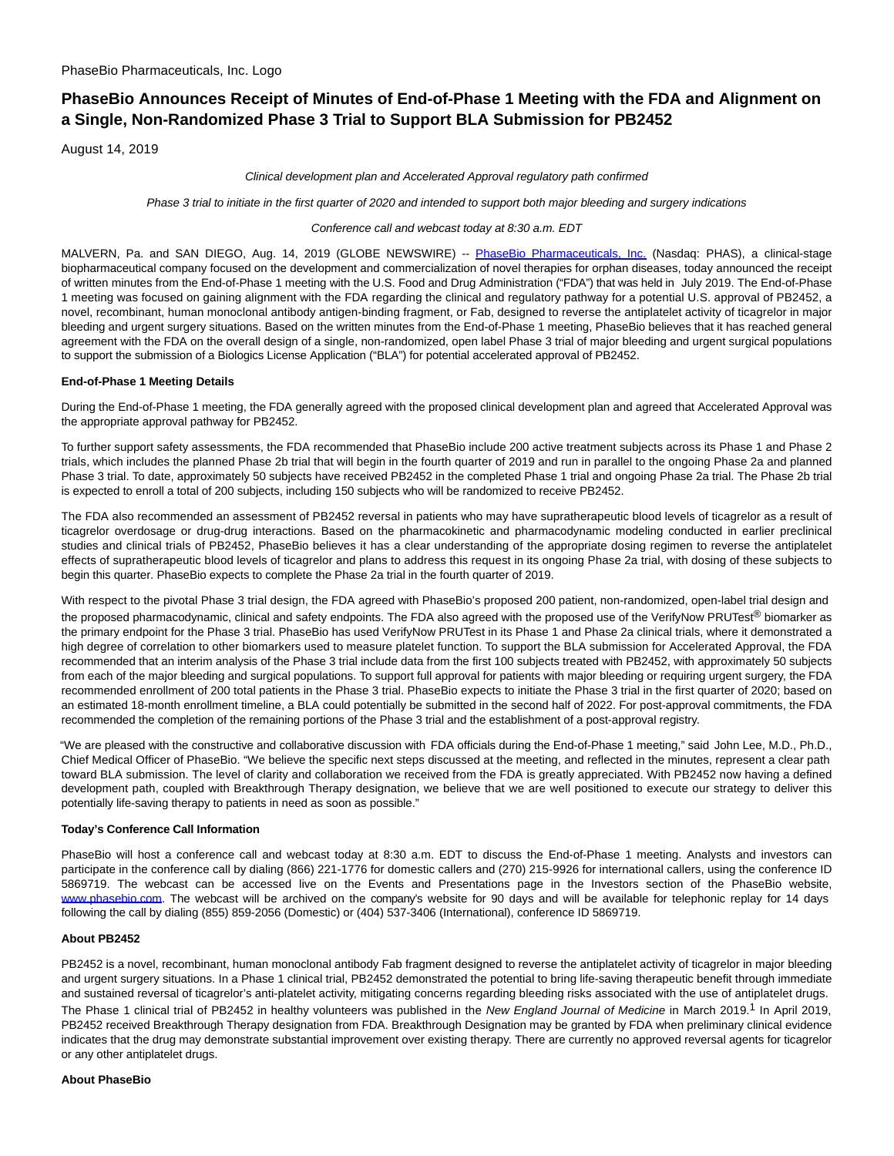# **PhaseBio Announces Receipt of Minutes of End-of-Phase 1 Meeting with the FDA and Alignment on a Single, Non-Randomized Phase 3 Trial to Support BLA Submission for PB2452**

August 14, 2019

### Clinical development plan and Accelerated Approval regulatory path confirmed

Phase 3 trial to initiate in the first quarter of 2020 and intended to support both major bleeding and surgery indications

### Conference call and webcast today at 8:30 a.m. EDT

MALVERN, Pa. and SAN DIEGO, Aug. 14, 2019 (GLOBE NEWSWIRE) -- [PhaseBio Pharmaceuticals, Inc.](https://www.globenewswire.com/Tracker?data=sD8lM6tTSa4ePPkjB5SA6FNdzm4_Dpo7UrIXABX4liAVlw0V88w_lLJGchkYn086DefRPjEm0Zn2GTh_XbzFwRW3r45L6zhhu9KO1FP1D4M=) (Nasdaq: PHAS), a clinical-stage biopharmaceutical company focused on the development and commercialization of novel therapies for orphan diseases, today announced the receipt of written minutes from the End-of-Phase 1 meeting with the U.S. Food and Drug Administration ("FDA") that was held in July 2019. The End-of-Phase 1 meeting was focused on gaining alignment with the FDA regarding the clinical and regulatory pathway for a potential U.S. approval of PB2452, a novel, recombinant, human monoclonal antibody antigen-binding fragment, or Fab, designed to reverse the antiplatelet activity of ticagrelor in major bleeding and urgent surgery situations. Based on the written minutes from the End-of-Phase 1 meeting, PhaseBio believes that it has reached general agreement with the FDA on the overall design of a single, non-randomized, open label Phase 3 trial of major bleeding and urgent surgical populations to support the submission of a Biologics License Application ("BLA") for potential accelerated approval of PB2452.

## **End-of-Phase 1 Meeting Details**

During the End-of-Phase 1 meeting, the FDA generally agreed with the proposed clinical development plan and agreed that Accelerated Approval was the appropriate approval pathway for PB2452.

To further support safety assessments, the FDA recommended that PhaseBio include 200 active treatment subjects across its Phase 1 and Phase 2 trials, which includes the planned Phase 2b trial that will begin in the fourth quarter of 2019 and run in parallel to the ongoing Phase 2a and planned Phase 3 trial. To date, approximately 50 subjects have received PB2452 in the completed Phase 1 trial and ongoing Phase 2a trial. The Phase 2b trial is expected to enroll a total of 200 subjects, including 150 subjects who will be randomized to receive PB2452.

The FDA also recommended an assessment of PB2452 reversal in patients who may have supratherapeutic blood levels of ticagrelor as a result of ticagrelor overdosage or drug-drug interactions. Based on the pharmacokinetic and pharmacodynamic modeling conducted in earlier preclinical studies and clinical trials of PB2452, PhaseBio believes it has a clear understanding of the appropriate dosing regimen to reverse the antiplatelet effects of supratherapeutic blood levels of ticagrelor and plans to address this request in its ongoing Phase 2a trial, with dosing of these subjects to begin this quarter. PhaseBio expects to complete the Phase 2a trial in the fourth quarter of 2019.

With respect to the pivotal Phase 3 trial design, the FDA agreed with PhaseBio's proposed 200 patient, non-randomized, open-label trial design and the proposed pharmacodynamic, clinical and safety endpoints. The FDA also agreed with the proposed use of the VerifyNow PRUTest® biomarker as the primary endpoint for the Phase 3 trial. PhaseBio has used VerifyNow PRUTest in its Phase 1 and Phase 2a clinical trials, where it demonstrated a high degree of correlation to other biomarkers used to measure platelet function. To support the BLA submission for Accelerated Approval, the FDA recommended that an interim analysis of the Phase 3 trial include data from the first 100 subjects treated with PB2452, with approximately 50 subjects from each of the major bleeding and surgical populations. To support full approval for patients with major bleeding or requiring urgent surgery, the FDA recommended enrollment of 200 total patients in the Phase 3 trial. PhaseBio expects to initiate the Phase 3 trial in the first quarter of 2020; based on an estimated 18-month enrollment timeline, a BLA could potentially be submitted in the second half of 2022. For post-approval commitments, the FDA recommended the completion of the remaining portions of the Phase 3 trial and the establishment of a post-approval registry.

"We are pleased with the constructive and collaborative discussion with FDA officials during the End-of-Phase 1 meeting," said John Lee, M.D., Ph.D., Chief Medical Officer of PhaseBio. "We believe the specific next steps discussed at the meeting, and reflected in the minutes, represent a clear path toward BLA submission. The level of clarity and collaboration we received from the FDA is greatly appreciated. With PB2452 now having a defined development path, coupled with Breakthrough Therapy designation, we believe that we are well positioned to execute our strategy to deliver this potentially life-saving therapy to patients in need as soon as possible."

## **Today's Conference Call Information**

PhaseBio will host a conference call and webcast today at 8:30 a.m. EDT to discuss the End-of-Phase 1 meeting. Analysts and investors can participate in the conference call by dialing (866) 221-1776 for domestic callers and (270) 215-9926 for international callers, using the conference ID 5869719. The webcast can be accessed live on the Events and Presentations page in the Investors section of the PhaseBio website, [www.phasebio.com.](http://www.phasebio.com/) The webcast will be archived on the company's website for 90 days and will be available for telephonic replay for 14 days following the call by dialing (855) 859-2056 (Domestic) or (404) 537-3406 (International), conference ID 5869719.

# **About PB2452**

PB2452 is a novel, recombinant, human monoclonal antibody Fab fragment designed to reverse the antiplatelet activity of ticagrelor in major bleeding and urgent surgery situations. In a Phase 1 clinical trial, PB2452 demonstrated the potential to bring life-saving therapeutic benefit through immediate and sustained reversal of ticagrelor's anti-platelet activity, mitigating concerns regarding bleeding risks associated with the use of antiplatelet drugs. The Phase 1 clinical trial of PB2452 in healthy volunteers was published in the New England Journal of Medicine in March 2019.<sup>1</sup> In April 2019, PB2452 received Breakthrough Therapy designation from FDA. Breakthrough Designation may be granted by FDA when preliminary clinical evidence indicates that the drug may demonstrate substantial improvement over existing therapy. There are currently no approved reversal agents for ticagrelor or any other antiplatelet drugs.

#### **About PhaseBio**